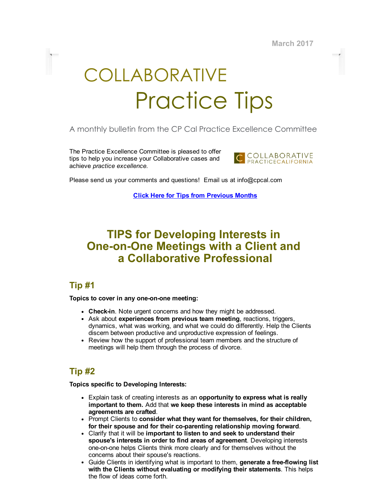March 2017

# COLLABORATIVE Practice Tips

## A monthly bulletin from the CP Cal Practice Excellence Committee

The Practice Excellence Committee is pleased to offer tips to help you increase your Collaborative cases and achieve practice excellence.



Please send us your comments and questions! Email us at info@cpcal.com

Click Here for Tips from [Previous](https://www.dropbox.com/sh/nns7xqfkrgzi7sx/AACnvsWvEnTcndxaKdXGRv_Pa?dl=0) Months

# TIPS for Developing Interests in **One-on-One Meetings with a Client and** a Collaborative Professional

# Tip #1

#### Topics to cover in any one-on-one meeting:

- Check-in. Note urgent concerns and how they might be addressed.
- Ask about experiences from previous team meeting, reactions, triggers, dynamics, what was working, and what we could do differently. Help the Clients discern between productive and unproductive expression of feelings.
- Review how the support of professional team members and the structure of meetings will help them through the process of divorce.

# Tip #2

Topics specific to Developing Interests:

- **Explain task of creating interests as an opportunity to express what is really** important to them. Add that we keep these interests in mind as acceptable agreements are crafted.
- Prompt Clients to consider what they want for themselves, for their children, for their spouse and for their co-parenting relationship moving forward.
- Clarify that it will be important to listen to and seek to understand their spouse's interests in order to find areas of agreement. Developing interests one-on-one helps Clients think more clearly and for themselves without the concerns about their spouse's reactions.
- Guide Clients in identifying what is important to them, generate a free-flowing list with the Clients without evaluating or modifying their statements. This helps the flow of ideas come forth.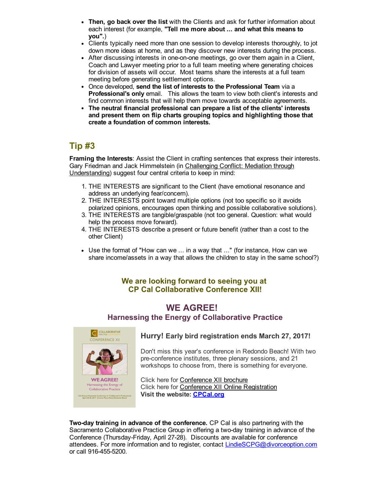- Then, go back over the list with the Clients and ask for further information about each interest (for example, "Tell me more about ... and what this means to you".)
- Clients typically need more than one session to develop interests thoroughly, to jot down more ideas at home, and as they discover new interests during the process.
- After discussing interests in one-on-one meetings, go over them again in a Client, Coach and Lawyer meeting prior to a full team meeting where generating choices for division of assets will occur. Most teams share the interests at a full team meeting before generating settlement options.
- Once developed, send the list of interests to the Professional Team via a Professional's only email. This allows the team to view both client's interests and find common interests that will help them move towards acceptable agreements.
- The neutral financial professional can prepare a list of the clients' interests and present them on flip charts grouping topics and highlighting those that create a foundation of common interests.

# Tip #3

Framing the Interests: Assist the Client in crafting sentences that express their interests. Gary Friedman and Jack Himmelstein (in Challenging Conflict: Mediation through Understanding) suggest four central criteria to keep in mind:

- 1. THE INTERESTS are significant to the Client (have emotional resonance and address an underlying fear/concern).
- 2. THE INTERESTS point toward multiple options (not too specific so it avoids polarized opinions, encourages open thinking and possible collaborative solutions).
- 3. THE INTERESTS are tangible/graspable (not too general. Question: what would help the process move forward).
- 4. THE INTERESTS describe a present or future benefit (rather than a cost to the other Client)
- Use the format of "How can we ... in a way that ..." (for instance, How can we share income/assets in a way that allows the children to stay in the same school?)

#### We are looking forward to seeing you at CP Cal Collaborative Conference XII!

### WE AGREE! Harnessing the Energy of Collaborative Practice



#### Hurry! Early bird registration ends March 27, 2017!

Don't miss this year's conference in Redondo Beach! With two pre-conference institutes, three plenary sessions, and 21 workshops to choose from, there is something for everyone.

Click here for **[Conference](http://files.constantcontact.com/1a1ee3dc001/22f294d6-f28c-4a85-b5dc-19d22e1c1c77.pdf) XII brochure** Click here for Conference XII Online [Registration](http://www.cpcal.org/cpcalconf.aspx) Visit the website: **[CPCal.org](http://cpcal.org/)** 

Two-day training in advance of the conference. CP Cal is also partnering with the Sacramento Collaborative Practice Group in offering a twoday training in advance of the Conference (Thursday-Friday, April 27-28). Discounts are available for conference attendees. For more information and to register, contact [LindieSCPG@divorceoption.com](http://LindieSCPG@divorceoption.com/) or call 916-455-5200.